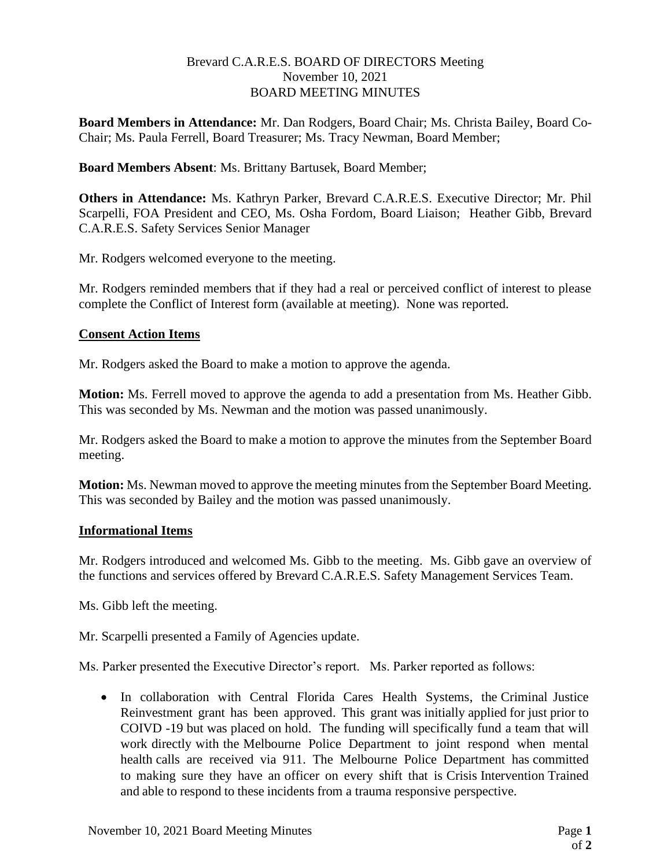### Brevard C.A.R.E.S. BOARD OF DIRECTORS Meeting November 10, 2021 BOARD MEETING MINUTES

**Board Members in Attendance:** Mr. Dan Rodgers, Board Chair; Ms. Christa Bailey, Board Co-Chair; Ms. Paula Ferrell, Board Treasurer; Ms. Tracy Newman, Board Member;

# **Board Members Absent**: Ms. Brittany Bartusek, Board Member;

**Others in Attendance:** Ms. Kathryn Parker, Brevard C.A.R.E.S. Executive Director; Mr. Phil Scarpelli, FOA President and CEO, Ms. Osha Fordom, Board Liaison; Heather Gibb, Brevard C.A.R.E.S. Safety Services Senior Manager

Mr. Rodgers welcomed everyone to the meeting.

Mr. Rodgers reminded members that if they had a real or perceived conflict of interest to please complete the Conflict of Interest form (available at meeting). None was reported.

## **Consent Action Items**

Mr. Rodgers asked the Board to make a motion to approve the agenda.

**Motion:** Ms. Ferrell moved to approve the agenda to add a presentation from Ms. Heather Gibb. This was seconded by Ms. Newman and the motion was passed unanimously.

Mr. Rodgers asked the Board to make a motion to approve the minutes from the September Board meeting.

**Motion:** Ms. Newman moved to approve the meeting minutes from the September Board Meeting. This was seconded by Bailey and the motion was passed unanimously.

## **Informational Items**

Mr. Rodgers introduced and welcomed Ms. Gibb to the meeting. Ms. Gibb gave an overview of the functions and services offered by Brevard C.A.R.E.S. Safety Management Services Team.

Ms. Gibb left the meeting.

Mr. Scarpelli presented a Family of Agencies update.

Ms. Parker presented the Executive Director's report. Ms. Parker reported as follows:

• In collaboration with Central Florida Cares Health Systems, the Criminal Justice Reinvestment grant has been approved. This grant was initially applied for just prior to COIVD -19 but was placed on hold. The funding will specifically fund a team that will work directly with the Melbourne Police Department to joint respond when mental health calls are received via 911. The Melbourne Police Department has committed to making sure they have an officer on every shift that is Crisis Intervention Trained and able to respond to these incidents from a trauma responsive perspective.